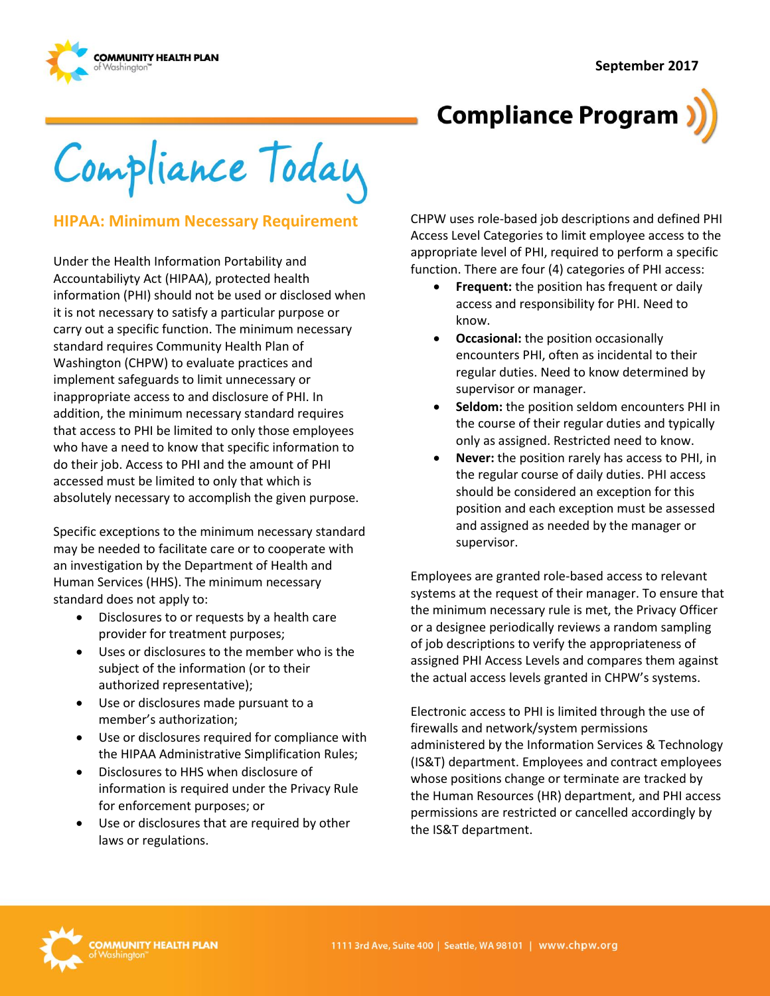**September 2017**



# **Compliance Program**

Compliance Today

#### **HIPAA: Minimum Necessary Requirement**

Under the Health Information Portability and Accountabiliyty Act (HIPAA), protected health information (PHI) should not be used or disclosed when it is not necessary to satisfy a particular purpose or carry out a specific function. The minimum necessary standard requires Community Health Plan of Washington (CHPW) to evaluate practices and implement safeguards to limit unnecessary or inappropriate access to and disclosure of PHI. In addition, the minimum necessary standard requires that access to PHI be limited to only those employees who have a need to know that specific information to do their job. Access to PHI and the amount of PHI accessed must be limited to only that which is absolutely necessary to accomplish the given purpose.

Specific exceptions to the minimum necessary standard may be needed to facilitate care or to cooperate with an investigation by the Department of Health and Human Services (HHS). The minimum necessary standard does not apply to:

- Disclosures to or requests by a health care provider for treatment purposes;
- Uses or disclosures to the member who is the subject of the information (or to their authorized representative);
- Use or disclosures made pursuant to a member's authorization;
- Use or disclosures required for compliance with the HIPAA Administrative Simplification Rules;
- Disclosures to HHS when disclosure of information is required under the Privacy Rule for enforcement purposes; or
- Use or disclosures that are required by other laws or regulations.

CHPW uses role-based job descriptions and defined PHI Access Level Categories to limit employee access to the appropriate level of PHI, required to perform a specific function. There are four (4) categories of PHI access:

- **Frequent:** the position has frequent or daily access and responsibility for PHI. Need to know.
- **Occasional:** the position occasionally encounters PHI, often as incidental to their regular duties. Need to know determined by supervisor or manager.
- **Seldom:** the position seldom encounters PHI in the course of their regular duties and typically only as assigned. Restricted need to know.
- **Never:** the position rarely has access to PHI, in the regular course of daily duties. PHI access should be considered an exception for this position and each exception must be assessed and assigned as needed by the manager or supervisor.

Employees are granted role-based access to relevant systems at the request of their manager. To ensure that the minimum necessary rule is met, the Privacy Officer or a designee periodically reviews a random sampling of job descriptions to verify the appropriateness of assigned PHI Access Levels and compares them against the actual access levels granted in CHPW's systems.

Electronic access to PHI is limited through the use of firewalls and network/system permissions administered by the Information Services & Technology (IS&T) department. Employees and contract employees whose positions change or terminate are tracked by the Human Resources (HR) department, and PHI access permissions are restricted or cancelled accordingly by the IS&T department.

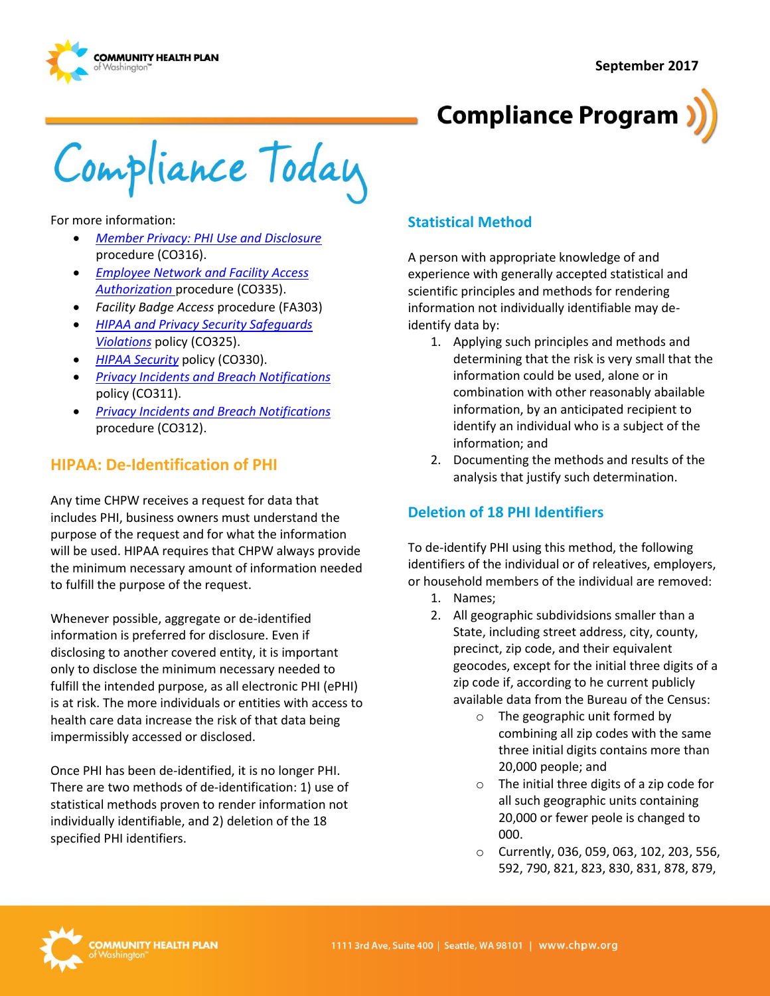**September 2017**





Compliance Today

For more information:

- *[Member Privacy: PHI Use and Disclosure](http://chpsp/PP/Compliance/Member%20Privacy-PHI%20Use%20and%20Disclosure%20Procedure%20-%20CO316.pdf)* procedure (CO316).
- *[Employee Network and Facility Access](http://chpsp/PP/Compliance/Employee%20Network%20and%20Facility%20Access%20Authorization%20MAC%20Form%20Procedure%20-%20CO335.pdf)  [Authorization](http://chpsp/PP/Compliance/Employee%20Network%20and%20Facility%20Access%20Authorization%20MAC%20Form%20Procedure%20-%20CO335.pdf)* procedure (CO335).
- *Facility Badge Access* procedure (FA303)
- *[HIPAA and Privacy Security Safeguards](http://chpsp/PP/Compliance/HIPAA%20and%20Privacy%20Security%20Safeguards%20Violations%20Policy%20-%20CO325.pdf)  [Violations](http://chpsp/PP/Compliance/HIPAA%20and%20Privacy%20Security%20Safeguards%20Violations%20Policy%20-%20CO325.pdf)* policy (CO325).
- *[HIPAA Security](http://chpsp/PP/Compliance/HIPAA%20Security%20Policy%20-%20CO330.pdf)* policy (CO330).
- *[Privacy Incidents and Breach Notifications](http://chpsp/PP/Compliance/Privacy%20Incidents%20and%20Breach%20Notifications%20Policy%20-%20CO311.pdf)*  policy (CO311).
- *[Privacy Incidents and Breach Notifications](http://chpsp/PP/Compliance/Privacy%20Incidents%20and%20Breach%20Notifications%20Procedure%20-%20CO312.pdf)*  procedure (CO312).

### **HIPAA: De-Identification of PHI**

Any time CHPW receives a request for data that includes PHI, business owners must understand the purpose of the request and for what the information will be used. HIPAA requires that CHPW always provide the minimum necessary amount of information needed to fulfill the purpose of the request.

Whenever possible, aggregate or de-identified information is preferred for disclosure. Even if disclosing to another covered entity, it is important only to disclose the minimum necessary needed to fulfill the intended purpose, as all electronic PHI (ePHI) is at risk. The more individuals or entities with access to health care data increase the risk of that data being impermissibly accessed or disclosed.

Once PHI has been de-identified, it is no longer PHI. There are two methods of de-identification: 1) use of statistical methods proven to render information not individually identifiable, and 2) deletion of the 18 specified PHI identifiers.

#### **Statistical Method**

A person with appropriate knowledge of and experience with generally accepted statistical and scientific principles and methods for rendering information not individually identifiable may deidentify data by:

- 1. Applying such principles and methods and determining that the risk is very small that the information could be used, alone or in combination with other reasonably abailable information, by an anticipated recipient to identify an individual who is a subject of the information; and
- 2. Documenting the methods and results of the analysis that justify such determination.

### **Deletion of 18 PHI Identifiers**

To de-identify PHI using this method, the following identifiers of the individual or of releatives, employers, or household members of the individual are removed:

- 1. Names;
- 2. All geographic subdividsions smaller than a State, including street address, city, county, precinct, zip code, and their equivalent geocodes, except for the initial three digits of a zip code if, according to he current publicly available data from the Bureau of the Census:
	- o The geographic unit formed by combining all zip codes with the same three initial digits contains more than 20,000 people; and
	- o The initial three digits of a zip code for all such geographic units containing 20,000 or fewer peole is changed to 000.
	- o Currently, 036, 059, 063, 102, 203, 556, 592, 790, 821, 823, 830, 831, 878, 879,

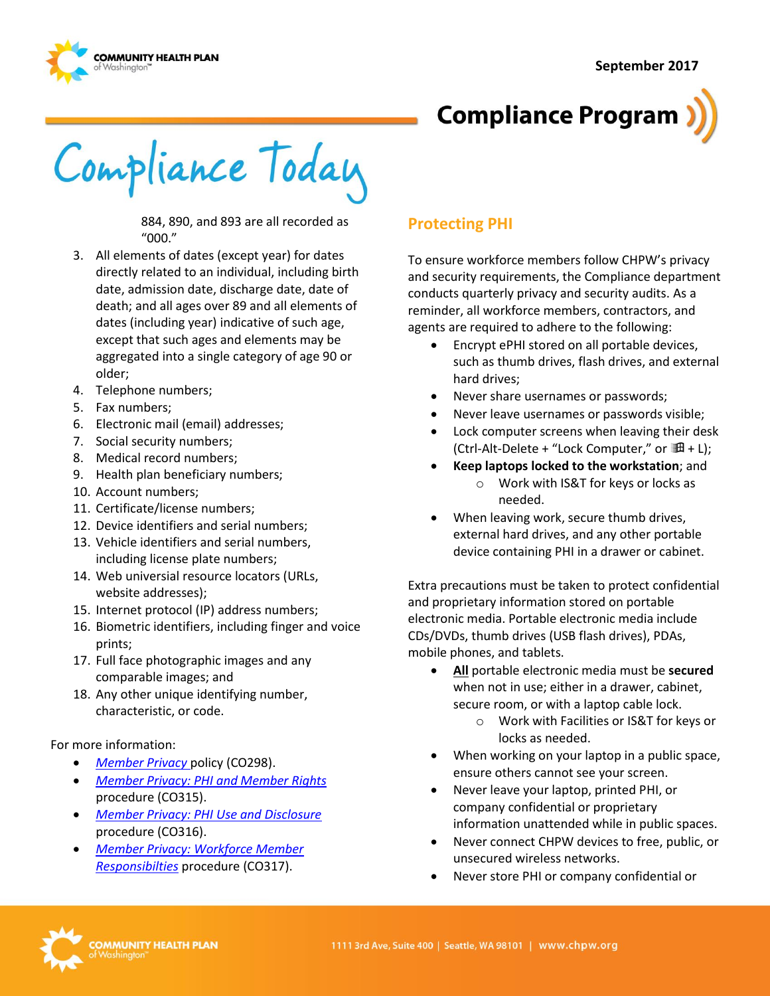



Compliance Today

884, 890, and 893 are all recorded as "000."

- 3. All elements of dates (except year) for dates directly related to an individual, including birth date, admission date, discharge date, date of death; and all ages over 89 and all elements of dates (including year) indicative of such age, except that such ages and elements may be aggregated into a single category of age 90 or older;
- 4. Telephone numbers;
- 5. Fax numbers;
- 6. Electronic mail (email) addresses;
- 7. Social security numbers;
- 8. Medical record numbers;
- 9. Health plan beneficiary numbers;
- 10. Account numbers;
- 11. Certificate/license numbers;
- 12. Device identifiers and serial numbers;
- 13. Vehicle identifiers and serial numbers, including license plate numbers;
- 14. Web universial resource locators (URLs, website addresses);
- 15. Internet protocol (IP) address numbers;
- 16. Biometric identifiers, including finger and voice prints;
- 17. Full face photographic images and any comparable images; and
- 18. Any other unique identifying number, characteristic, or code.

#### For more information:

- *[Member Privacy](http://chpsp/PP/Compliance/Member%20Privacy%20Policy%20-%20CO298.pdf)* policy (CO298).
- *[Member Privacy: PHI and Member Rights](http://chpsp/PP/Compliance/Member%20Privacy-PHI%20and%20Member%20Rights%20Procedure%20-%20CO315.pdf)* procedure (CO315).
- *[Member Privacy: PHI Use and Disclosure](http://chpsp/PP/Compliance/Member%20Privacy-PHI%20Use%20and%20Disclosure%20Procedure%20-%20CO316.pdf)* procedure (CO316).
- *[Member Privacy: Workforce Member](http://chpsp/PP/Compliance/Member%20Privacy-Workforce%20Member%20Responsibilities%20Procedure%20-%20CO317.pdf)  [Responsibilties](http://chpsp/PP/Compliance/Member%20Privacy-Workforce%20Member%20Responsibilities%20Procedure%20-%20CO317.pdf)* procedure (CO317).

## **Protecting PHI**

To ensure workforce members follow CHPW's privacy and security requirements, the Compliance department conducts quarterly privacy and security audits. As a reminder, all workforce members, contractors, and agents are required to adhere to the following:

- Encrypt ePHI stored on all portable devices, such as thumb drives, flash drives, and external hard drives;
- Never share usernames or passwords;
- Never leave usernames or passwords visible;
- Lock computer screens when leaving their desk (Ctrl-Alt-Delete + "Lock Computer," or  $H + L$ );
- **Keep laptops locked to the workstation**; and o Work with IS&T for keys or locks as
	- needed.
- When leaving work, secure thumb drives, external hard drives, and any other portable device containing PHI in a drawer or cabinet.

Extra precautions must be taken to protect confidential and proprietary information stored on portable electronic media. Portable electronic media include CDs/DVDs, thumb drives (USB flash drives), PDAs, mobile phones, and tablets.

- **All** portable electronic media must be **secured** when not in use; either in a drawer, cabinet, secure room, or with a laptop cable lock.
	- o Work with Facilities or IS&T for keys or locks as needed.
- When working on your laptop in a public space, ensure others cannot see your screen.
- Never leave your laptop, printed PHI, or company confidential or proprietary information unattended while in public spaces.
- Never connect CHPW devices to free, public, or unsecured wireless networks.
- Never store PHI or company confidential or

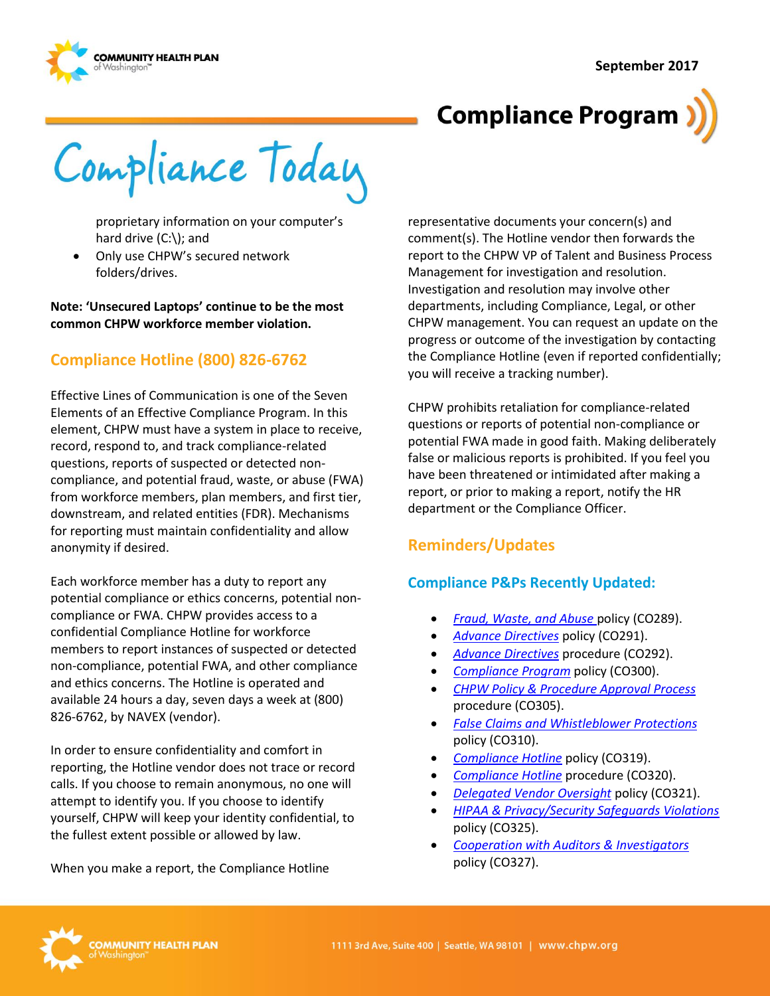

# **Compliance Program**

Compliance Today

proprietary information on your computer's hard drive (C:\); and

 Only use CHPW's secured network folders/drives.

**Note: 'Unsecured Laptops' continue to be the most common CHPW workforce member violation.**

## **Compliance Hotline (800) 826-6762**

Effective Lines of Communication is one of the Seven Elements of an Effective Compliance Program. In this element, CHPW must have a system in place to receive, record, respond to, and track compliance-related questions, reports of suspected or detected noncompliance, and potential fraud, waste, or abuse (FWA) from workforce members, plan members, and first tier, downstream, and related entities (FDR). Mechanisms for reporting must maintain confidentiality and allow anonymity if desired.

Each workforce member has a duty to report any potential compliance or ethics concerns, potential noncompliance or FWA. CHPW provides access to a confidential Compliance Hotline for workforce members to report instances of suspected or detected non-compliance, potential FWA, and other compliance and ethics concerns. The Hotline is operated and available 24 hours a day, seven days a week at (800) 826-6762, by NAVEX (vendor).

In order to ensure confidentiality and comfort in reporting, the Hotline vendor does not trace or record calls. If you choose to remain anonymous, no one will attempt to identify you. If you choose to identify yourself, CHPW will keep your identity confidential, to the fullest extent possible or allowed by law.

When you make a report, the Compliance Hotline

representative documents your concern(s) and comment(s). The Hotline vendor then forwards the report to the CHPW VP of Talent and Business Process Management for investigation and resolution. Investigation and resolution may involve other departments, including Compliance, Legal, or other CHPW management. You can request an update on the progress or outcome of the investigation by contacting the Compliance Hotline (even if reported confidentially; you will receive a tracking number).

CHPW prohibits retaliation for compliance-related questions or reports of potential non-compliance or potential FWA made in good faith. Making deliberately false or malicious reports is prohibited. If you feel you have been threatened or intimidated after making a report, or prior to making a report, notify the HR department or the Compliance Officer.

# **Reminders/Updates**

#### **Compliance P&Ps Recently Updated:**

- *[Fraud, Waste, and Abuse](http://chpsp/PP/Compliance/Fraud,%20Waste,%20and%20Abuse%20Policy%20-%20CO289.pdf)* policy (CO289).
- *[Advance Directives](http://chpsp/PP/Compliance/Advanced%20Directives%20Policy%20-%20CO291.pdf)* policy (CO291).
- *[Advance Directives](http://chpsp/PP/Compliance/Advanced%20Directives%20Procedure%20-%20CO292.pdf)* procedure (CO292).
- *[Compliance Program](http://chpsp/PP/Compliance/Compliance%20Program%20Policy%20-%20CO300.pdf)* policy (CO300).
- *[CHPW Policy & Procedure Approval Process](http://chpsp/PP/Compliance/Policy%20and%20Procedure%20Approval%20Process%20Procedure%20-%20CO305.pdf)* procedure (CO305).
- *[False Claims and Whistleblower Protections](http://chpsp/PP/Compliance/False%20Claims%20Prevention%20and%20Whistleblower%20Protections%20Policy%20-%20CO310.pdf)* policy (CO310).
- *[Compliance Hotline](http://chpsp/PP/Compliance/Compliance%20Hotline%20Policy%20-%20CO319.pdf)* policy (CO319).
- *[Compliance Hotline](http://chpsp/PP/Compliance/Compliance%20Hotline%20Procedure%20-%20CO320.pdf)* procedure (CO320).
- *[Delegated Vendor Oversight](http://chpsp/PP/Compliance/Delegated%20Vendor%20Oversight%20Policy%20-%20CO321.pdf)* policy (CO321).
- *[HIPAA & Privacy/Security Safeguards Violations](http://chpsp/PP/Compliance/HIPAA%20and%20Privacy%20Security%20Safeguards%20Violations%20Policy%20-%20CO325.pdf)* policy (CO325).
- *[Cooperation with Auditors & Investigators](http://chpsp/PP/Compliance/Cooperation%20with%20Audit%20and%20Investigators%20Policy%20-%20CO327.pdf)* policy (CO327).